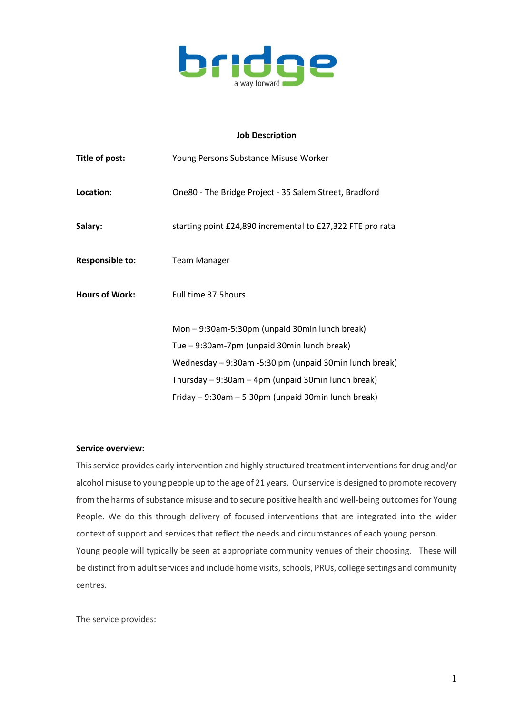

## **Job Description**

| Title of post:                              | Young Persons Substance Misuse Worker                      |  |  |
|---------------------------------------------|------------------------------------------------------------|--|--|
| Location:                                   | One80 - The Bridge Project - 35 Salem Street, Bradford     |  |  |
| Salary:                                     | starting point £24,890 incremental to £27,322 FTE pro rata |  |  |
| <b>Responsible to:</b>                      | <b>Team Manager</b>                                        |  |  |
| <b>Hours of Work:</b>                       | Full time 37.5 hours                                       |  |  |
|                                             | Mon-9:30am-5:30pm (unpaid 30min lunch break)               |  |  |
| Tue - 9:30am-7pm (unpaid 30min lunch break) |                                                            |  |  |
|                                             | Wednesday - 9:30am -5:30 pm (unpaid 30min lunch break)     |  |  |
|                                             | Thursday - 9:30am - 4pm (unpaid 30min lunch break)         |  |  |
|                                             | Friday - 9:30am - 5:30pm (unpaid 30min lunch break)        |  |  |

## **Service overview:**

This service provides early intervention and highly structured treatment interventions for drug and/or alcohol misuse to young people up to the age of 21 years. Our service is designed to promote recovery from the harms of substance misuse and to secure positive health and well-being outcomes for Young People. We do this through delivery of focused interventions that are integrated into the wider context of support and services that reflect the needs and circumstances of each young person. Young people will typically be seen at appropriate community venues of their choosing. These will be distinct from adult services and include home visits, schools, PRUs, college settings and community centres.

The service provides: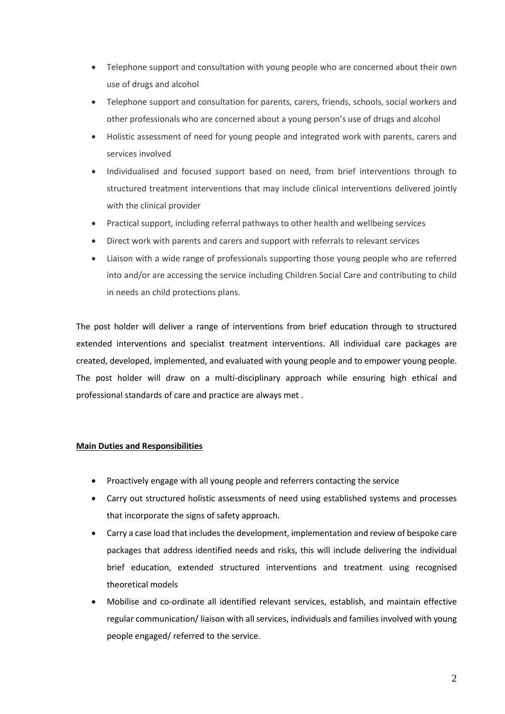- Telephone support and consultation with young people who are concerned about their own use of drugs and alcohol
- Telephone support and consultation for parents, carers, friends, schools, social workers and other professionals who are concerned about a young person's use of drugs and alcohol
- Holistic assessment of need for young people and integrated work with parents, carers and services involved
- Individualised and focused support based on need, from brief interventions through to structured treatment interventions that may include clinical interventions delivered jointly with the clinical provider
- Practical support, including referral pathways to other health and wellbeing services
- Direct work with parents and carers and support with referrals to relevant services
- Liaison with a wide range of professionals supporting those young people who are referred into and/or are accessing the service including Children Social Care and contributing to child in needs an child protections plans.

The post holder will deliver a range of interventions from brief education through to structured extended interventions and specialist treatment interventions. All individual care packages are created, developed, implemented, and evaluated with young people and to empower young people. The post holder will draw on a multi-disciplinary approach while ensuring high ethical and professional standards of care and practice are always met .

## **Main Duties and Responsibilities**

- Proactively engage with all young people and referrers contacting the service
- Carry out structured holistic assessments of need using established systems and processes that incorporate the signs of safety approach.
- Carry a case load that includes the development, implementation and review of bespoke care packages that address identified needs and risks, this will include delivering the individual brief education, extended structured interventions and treatment using recognised theoretical models
- Mobilise and co-ordinate all identified relevant services, establish, and maintain effective regular communication/ liaison with all services, individuals and families involved with young people engaged/ referred to the service.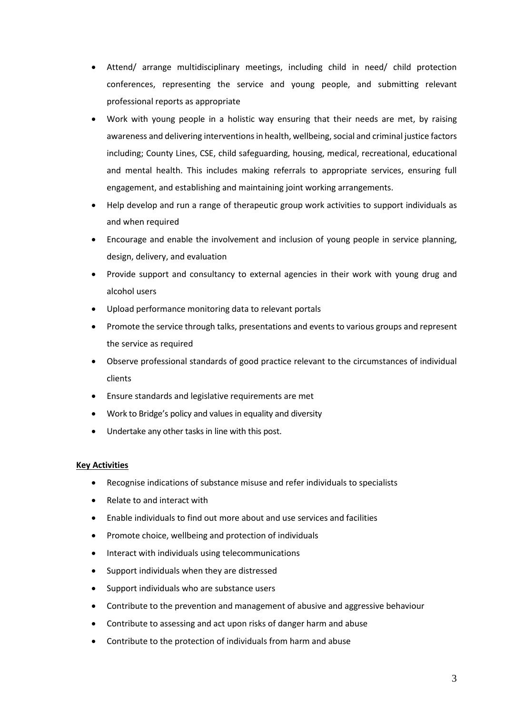- Attend/ arrange multidisciplinary meetings, including child in need/ child protection conferences, representing the service and young people, and submitting relevant professional reports as appropriate
- Work with young people in a holistic way ensuring that their needs are met, by raising awareness and delivering interventions in health, wellbeing, social and criminal justice factors including; County Lines, CSE, child safeguarding, housing, medical, recreational, educational and mental health. This includes making referrals to appropriate services, ensuring full engagement, and establishing and maintaining joint working arrangements.
- Help develop and run a range of therapeutic group work activities to support individuals as and when required
- Encourage and enable the involvement and inclusion of young people in service planning, design, delivery, and evaluation
- Provide support and consultancy to external agencies in their work with young drug and alcohol users
- Upload performance monitoring data to relevant portals
- Promote the service through talks, presentations and events to various groups and represent the service as required
- Observe professional standards of good practice relevant to the circumstances of individual clients
- Ensure standards and legislative requirements are met
- Work to Bridge's policy and values in equality and diversity
- Undertake any other tasks in line with this post.

## **Key Activities**

- Recognise indications of substance misuse and refer individuals to specialists
- Relate to and interact with
- Enable individuals to find out more about and use services and facilities
- Promote choice, wellbeing and protection of individuals
- Interact with individuals using telecommunications
- Support individuals when they are distressed
- Support individuals who are substance users
- Contribute to the prevention and management of abusive and aggressive behaviour
- Contribute to assessing and act upon risks of danger harm and abuse
- Contribute to the protection of individuals from harm and abuse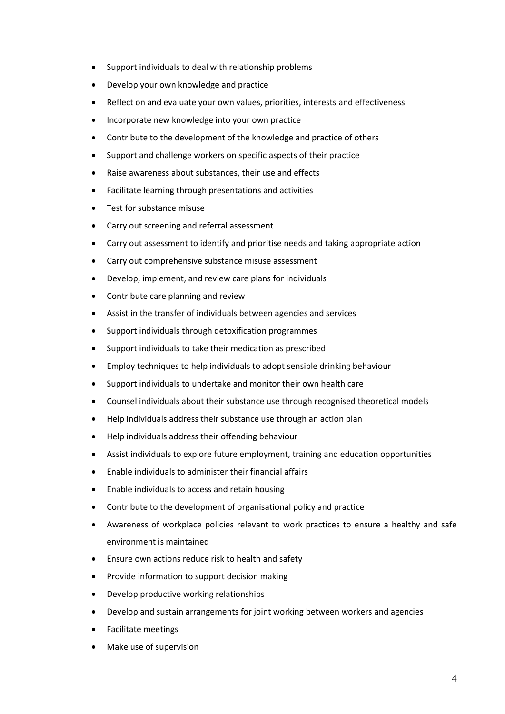- Support individuals to deal with relationship problems
- Develop your own knowledge and practice
- Reflect on and evaluate your own values, priorities, interests and effectiveness
- Incorporate new knowledge into your own practice
- Contribute to the development of the knowledge and practice of others
- Support and challenge workers on specific aspects of their practice
- Raise awareness about substances, their use and effects
- Facilitate learning through presentations and activities
- Test for substance misuse
- Carry out screening and referral assessment
- Carry out assessment to identify and prioritise needs and taking appropriate action
- Carry out comprehensive substance misuse assessment
- Develop, implement, and review care plans for individuals
- Contribute care planning and review
- Assist in the transfer of individuals between agencies and services
- Support individuals through detoxification programmes
- Support individuals to take their medication as prescribed
- Employ techniques to help individuals to adopt sensible drinking behaviour
- Support individuals to undertake and monitor their own health care
- Counsel individuals about their substance use through recognised theoretical models
- Help individuals address their substance use through an action plan
- Help individuals address their offending behaviour
- Assist individuals to explore future employment, training and education opportunities
- Enable individuals to administer their financial affairs
- Enable individuals to access and retain housing
- Contribute to the development of organisational policy and practice
- Awareness of workplace policies relevant to work practices to ensure a healthy and safe environment is maintained
- Ensure own actions reduce risk to health and safety
- Provide information to support decision making
- Develop productive working relationships
- Develop and sustain arrangements for joint working between workers and agencies
- Facilitate meetings
- Make use of supervision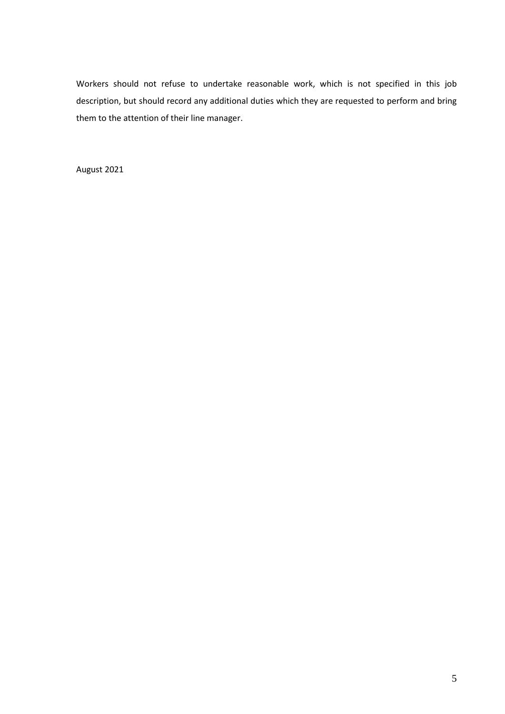Workers should not refuse to undertake reasonable work, which is not specified in this job description, but should record any additional duties which they are requested to perform and bring them to the attention of their line manager.

August 2021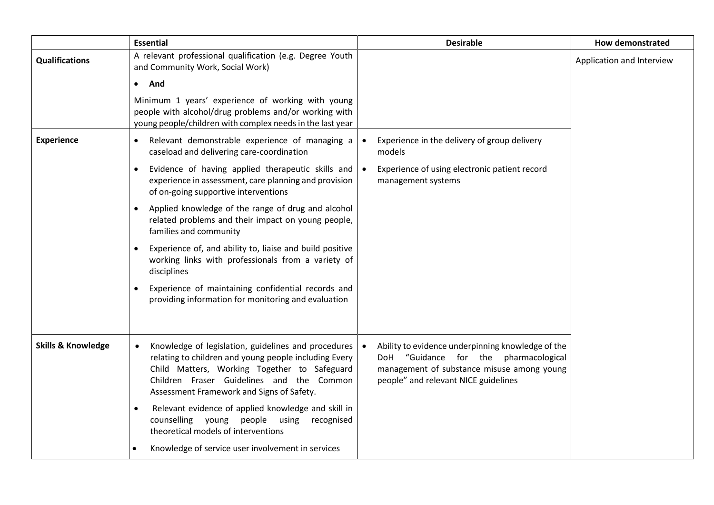|                               | <b>Essential</b>                                                                                                                                                                                                                                       | <b>Desirable</b>                                                                                                                                                                 | <b>How demonstrated</b>   |
|-------------------------------|--------------------------------------------------------------------------------------------------------------------------------------------------------------------------------------------------------------------------------------------------------|----------------------------------------------------------------------------------------------------------------------------------------------------------------------------------|---------------------------|
| <b>Qualifications</b>         | A relevant professional qualification (e.g. Degree Youth<br>and Community Work, Social Work)                                                                                                                                                           |                                                                                                                                                                                  | Application and Interview |
|                               | And<br>$\bullet$                                                                                                                                                                                                                                       |                                                                                                                                                                                  |                           |
|                               | Minimum 1 years' experience of working with young<br>people with alcohol/drug problems and/or working with<br>young people/children with complex needs in the last year                                                                                |                                                                                                                                                                                  |                           |
| <b>Experience</b>             | Relevant demonstrable experience of managing a<br>$\bullet$<br>caseload and delivering care-coordination                                                                                                                                               | Experience in the delivery of group delivery<br>$\bullet$<br>models                                                                                                              |                           |
|                               | Evidence of having applied therapeutic skills and<br>$\bullet$<br>experience in assessment, care planning and provision<br>of on-going supportive interventions                                                                                        | Experience of using electronic patient record<br>$\bullet$<br>management systems                                                                                                 |                           |
|                               | Applied knowledge of the range of drug and alcohol<br>$\bullet$<br>related problems and their impact on young people,<br>families and community                                                                                                        |                                                                                                                                                                                  |                           |
|                               | Experience of, and ability to, liaise and build positive<br>$\bullet$<br>working links with professionals from a variety of<br>disciplines                                                                                                             |                                                                                                                                                                                  |                           |
|                               | Experience of maintaining confidential records and<br>$\bullet$<br>providing information for monitoring and evaluation                                                                                                                                 |                                                                                                                                                                                  |                           |
| <b>Skills &amp; Knowledge</b> | Knowledge of legislation, guidelines and procedures<br>relating to children and young people including Every<br>Child Matters, Working Together to Safeguard<br>Children Fraser Guidelines and the Common<br>Assessment Framework and Signs of Safety. | Ability to evidence underpinning knowledge of the<br>DoH "Guidance for the pharmacological<br>management of substance misuse among young<br>people" and relevant NICE guidelines |                           |
|                               | Relevant evidence of applied knowledge and skill in<br>$\bullet$<br>counselling young people using<br>recognised<br>theoretical models of interventions                                                                                                |                                                                                                                                                                                  |                           |
|                               | Knowledge of service user involvement in services                                                                                                                                                                                                      |                                                                                                                                                                                  |                           |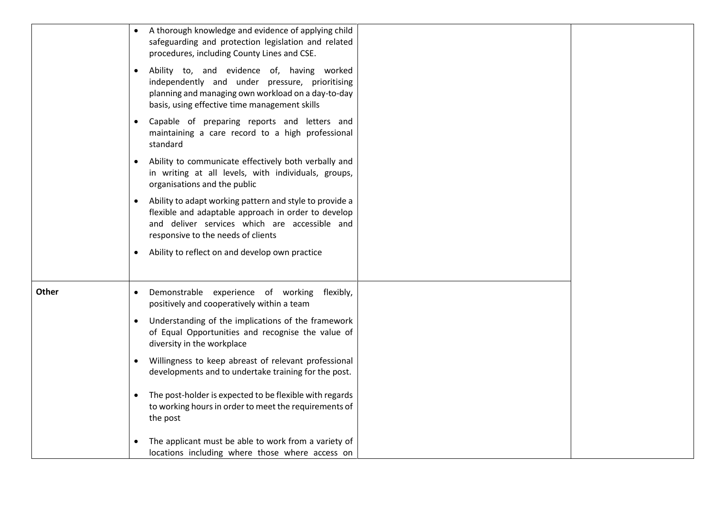|       | • A thorough knowledge and evidence of applying child<br>safeguarding and protection legislation and related<br>procedures, including County Lines and CSE.<br>Ability to, and evidence of, having worked<br>$\bullet$<br>independently and under pressure, prioritising<br>planning and managing own workload on a day-to-day<br>basis, using effective time management skills<br>• Capable of preparing reports and letters and<br>maintaining a care record to a high professional<br>standard<br>Ability to communicate effectively both verbally and<br>in writing at all levels, with individuals, groups,<br>organisations and the public<br>Ability to adapt working pattern and style to provide a<br>$\bullet$<br>flexible and adaptable approach in order to develop<br>and deliver services which are accessible and<br>responsive to the needs of clients<br>Ability to reflect on and develop own practice |
|-------|--------------------------------------------------------------------------------------------------------------------------------------------------------------------------------------------------------------------------------------------------------------------------------------------------------------------------------------------------------------------------------------------------------------------------------------------------------------------------------------------------------------------------------------------------------------------------------------------------------------------------------------------------------------------------------------------------------------------------------------------------------------------------------------------------------------------------------------------------------------------------------------------------------------------------|
| Other | Demonstrable experience of working<br>flexibly,<br>positively and cooperatively within a team<br>Understanding of the implications of the framework<br>of Equal Opportunities and recognise the value of<br>diversity in the workplace<br>Willingness to keep abreast of relevant professional<br>developments and to undertake training for the post.<br>The post-holder is expected to be flexible with regards<br>to working hours in order to meet the requirements of<br>the post<br>The applicant must be able to work from a variety of<br>locations including where those where access on                                                                                                                                                                                                                                                                                                                        |